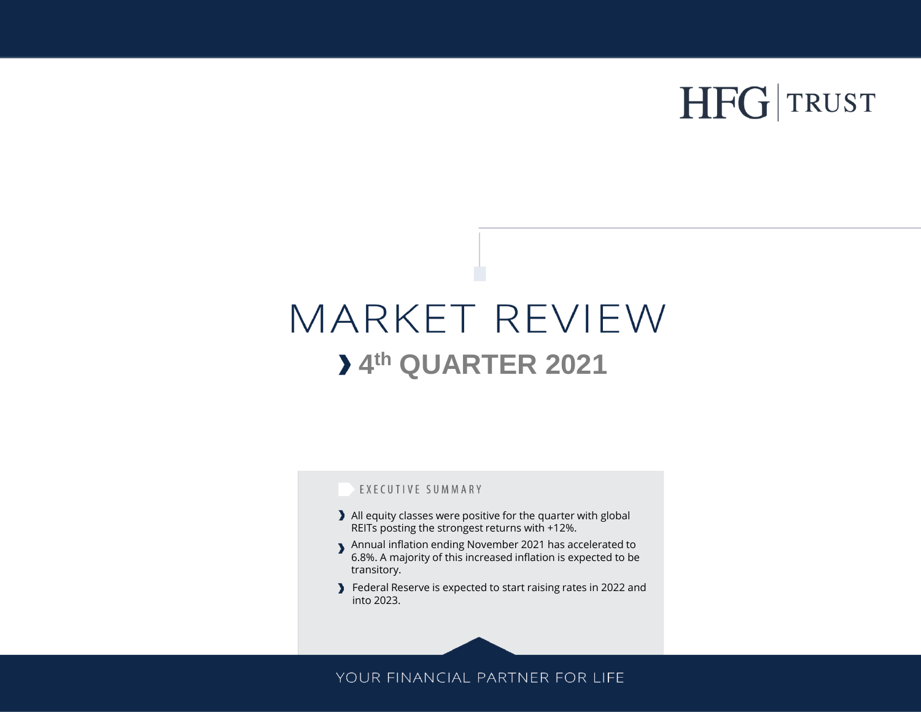# HFG TRUST

## MARKET REVIEW **4 th QUARTER 2021**

### EXECUTIVE SUMMARY

- All equity classes were positive for the quarter with global REITs posting the strongest returns with +12%.
- Annual inflation ending November 2021 has accelerated to 6.8%. A majority of this increased inflation is expected to be transitory.
- Federal Reserve is expected to start raising rates in 2022 and into 2023.

## YOUR FINANCIAL PARTNER FOR LIFE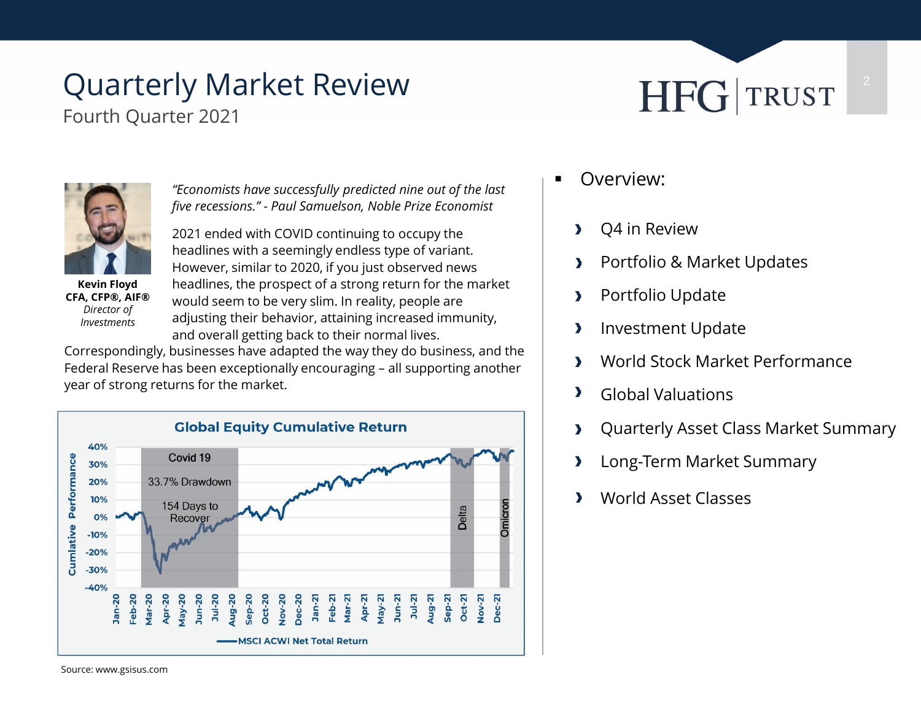# Quarterly Market Review

Fourth Quarter 2021





**Kevin Floyd CFA, CFP®, AIF®** *Director of Investments*

*"Economists have successfully predicted nine out of the last five recessions." - Paul Samuelson, Noble Prize Economist*

2021 ended with COVID continuing to occupy the headlines with a seemingly endless type of variant. However, similar to 2020, if you just observed news headlines, the prospect of a strong return for the market would seem to be very slim. In reality, people are adjusting their behavior, attaining increased immunity, and overall getting back to their normal lives.

Correspondingly, businesses have adapted the way they do business, and the Federal Reserve has been exceptionally encouraging – all supporting another year of strong returns for the market.



- **•** Overview:
	- Q4 in Review  $\blacktriangleright$
	- Portfolio & Market Updates  $\blacktriangleright$
	- Portfolio Update  $\blacktriangleright$
	- Investment Update  $\blacktriangleright$
	- World Stock Market Performance  $\blacktriangleright$
	- $\blacktriangleright$ Global Valuations
	- Quarterly Asset Class Market Summary  $\blacktriangleright$
	- Long-Term Market Summary  $\blacktriangleright$
	- World Asset Classes  $\mathbf{v}$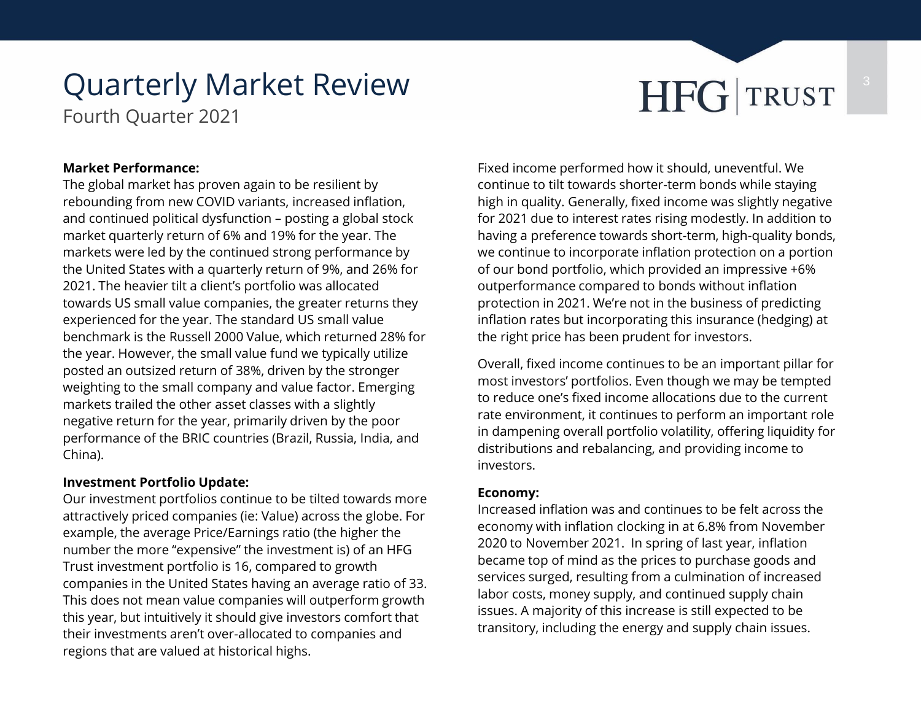# Quarterly Market Review **THFG** TRUST

Fourth Quarter 2021

### **Market Performance:**

The global market has proven again to be resilient by rebounding from new COVID variants, increased inflation, and continued political dysfunction – posting a global stock market quarterly return of 6% and 19% for the year. The markets were led by the continued strong performance by the United States with a quarterly return of 9%, and 26% for 2021. The heavier tilt a client's portfolio was allocated towards US small value companies, the greater returns they experienced for the year. The standard US small value benchmark is the Russell 2000 Value, which returned 28% for the year. However, the small value fund we typically utilize posted an outsized return of 38%, driven by the stronger weighting to the small company and value factor. Emerging markets trailed the other asset classes with a slightly negative return for the year, primarily driven by the poor performance of the BRIC countries (Brazil, Russia, India, and China).

### **Investment Portfolio Update:**

Our investment portfolios continue to be tilted towards more attractively priced companies (ie: Value) across the globe. For example, the average Price/Earnings ratio (the higher the number the more "expensive" the investment is) of an HFG Trust investment portfolio is 16, compared to growth companies in the United States having an average ratio of 33. This does not mean value companies will outperform growth this year, but intuitively it should give investors comfort that their investments aren't over-allocated to companies and regions that are valued at historical highs.

Fixed income performed how it should, uneventful. We continue to tilt towards shorter-term bonds while staying high in quality. Generally, fixed income was slightly negative for 2021 due to interest rates rising modestly. In addition to having a preference towards short-term, high-quality bonds, we continue to incorporate inflation protection on a portion of our bond portfolio, which provided an impressive +6% outperformance compared to bonds without inflation protection in 2021. We're not in the business of predicting inflation rates but incorporating this insurance (hedging) at the right price has been prudent for investors.

Overall, fixed income continues to be an important pillar for most investors' portfolios. Even though we may be tempted to reduce one's fixed income allocations due to the current rate environment, it continues to perform an important role in dampening overall portfolio volatility, offering liquidity for distributions and rebalancing, and providing income to investors.

### **Economy:**

Increased inflation was and continues to be felt across the economy with inflation clocking in at 6.8% from November 2020 to November 2021. In spring of last year, inflation became top of mind as the prices to purchase goods and services surged, resulting from a culmination of increased labor costs, money supply, and continued supply chain issues. A majority of this increase is still expected to be transitory, including the energy and supply chain issues.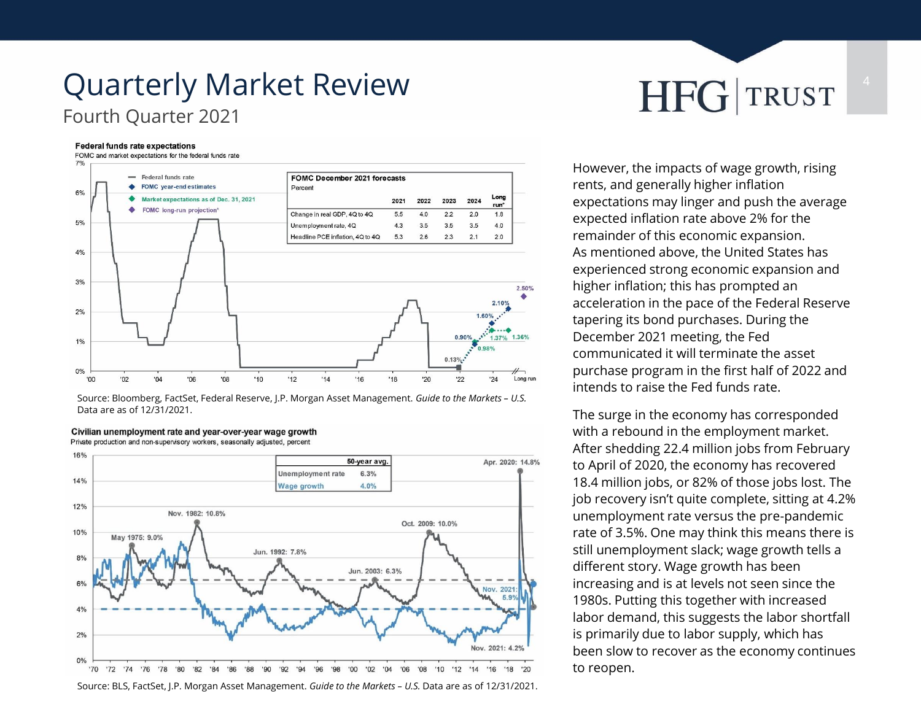## Quarterly Market Review **HFG** TRUST Fourth Quarter 2021

### **Federal funds rate expectations**

FOMC and market expectations for the federal funds rate



Source: Bloomberg, FactSet, Federal Reserve, J.P. Morgan Asset Management. *Guide to the Markets – U.S.*  Data are as of 12/31/2021.

### Civilian unemployment rate and year-over-year wage growth

Private production and non-supervisory workers, seasonally adjusted, percent



Source: BLS, FactSet, J.P. Morgan Asset Management. *Guide to the Markets – U.S.* Data are as of 12/31/2021.

However, the impacts of wage growth, rising rents, and generally higher inflation expectations may linger and push the average expected inflation rate above 2% for the remainder of this economic expansion. As mentioned above, the United States has experienced strong economic expansion and higher inflation; this has prompted an acceleration in the pace of the Federal Reserve tapering its bond purchases. During the December 2021 meeting, the Fed communicated it will terminate the asset purchase program in the first half of 2022 and intends to raise the Fed funds rate.

The surge in the economy has corresponded with a rebound in the employment market. After shedding 22.4 million jobs from February to April of 2020, the economy has recovered 18.4 million jobs, or 82% of those jobs lost. The job recovery isn't quite complete, sitting at 4.2% unemployment rate versus the pre-pandemic rate of 3.5%. One may think this means there is still unemployment slack; wage growth tells a different story. Wage growth has been increasing and is at levels not seen since the 1980s. Putting this together with increased labor demand, this suggests the labor shortfall is primarily due to labor supply, which has been slow to recover as the economy continues to reopen.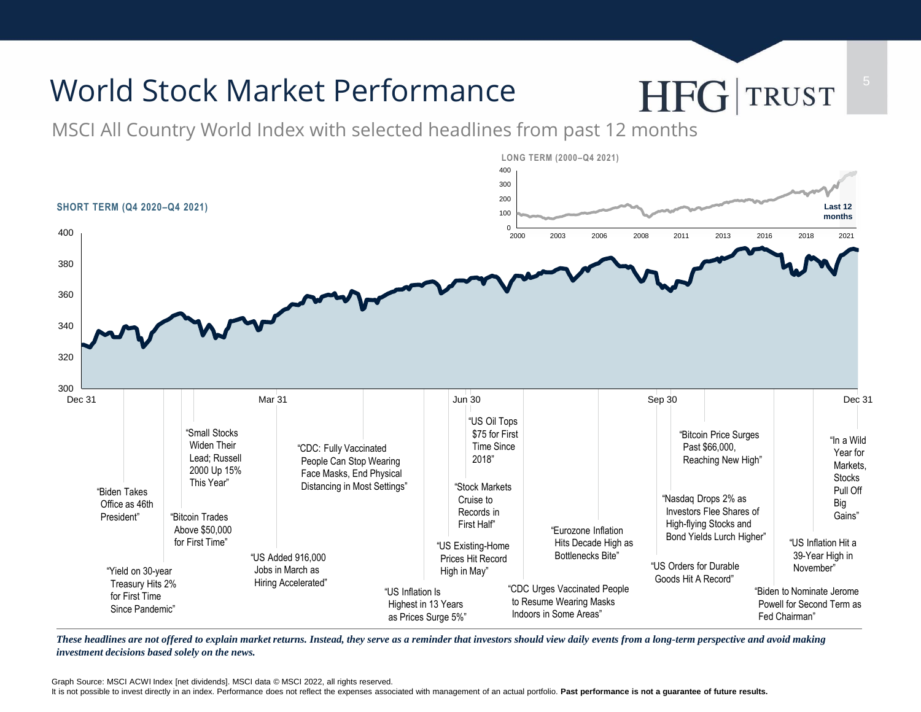

*These headlines are not offered to explain market returns. Instead, they serve as a reminder that investors should view daily events from a long-term perspective and avoid making investment decisions based solely on the news.*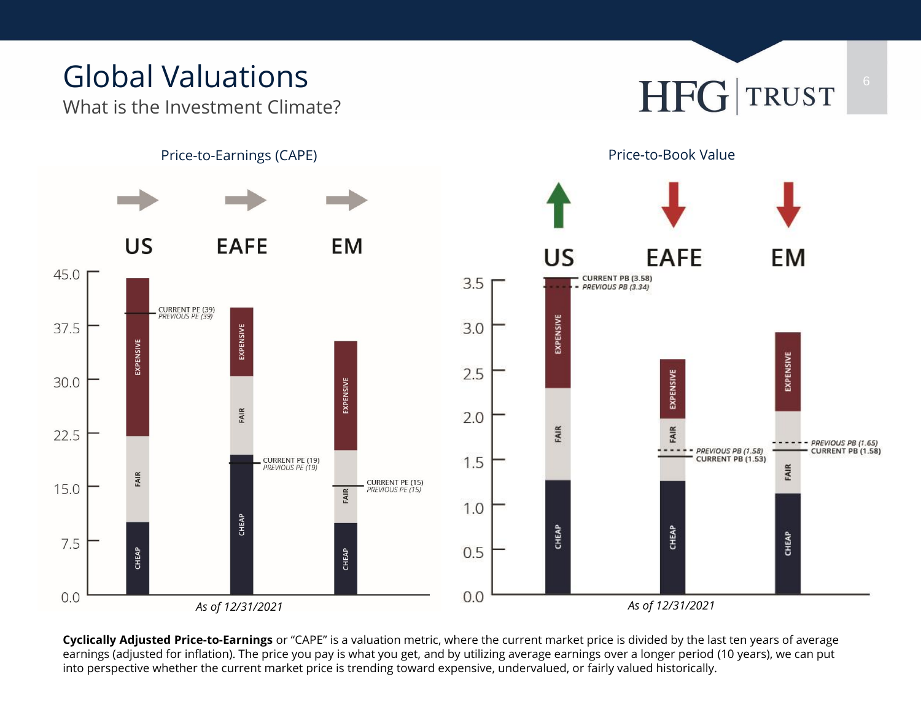What is the Investment Climate?





**Cyclically Adjusted Price-to-Earnings** or "CAPE" is a valuation metric, where the current market price is divided by the last ten years of average earnings (adjusted for inflation). The price you pay is what you get, and by utilizing average earnings over a longer period (10 years), we can put into perspective whether the current market price is trending toward expensive, undervalued, or fairly valued historically.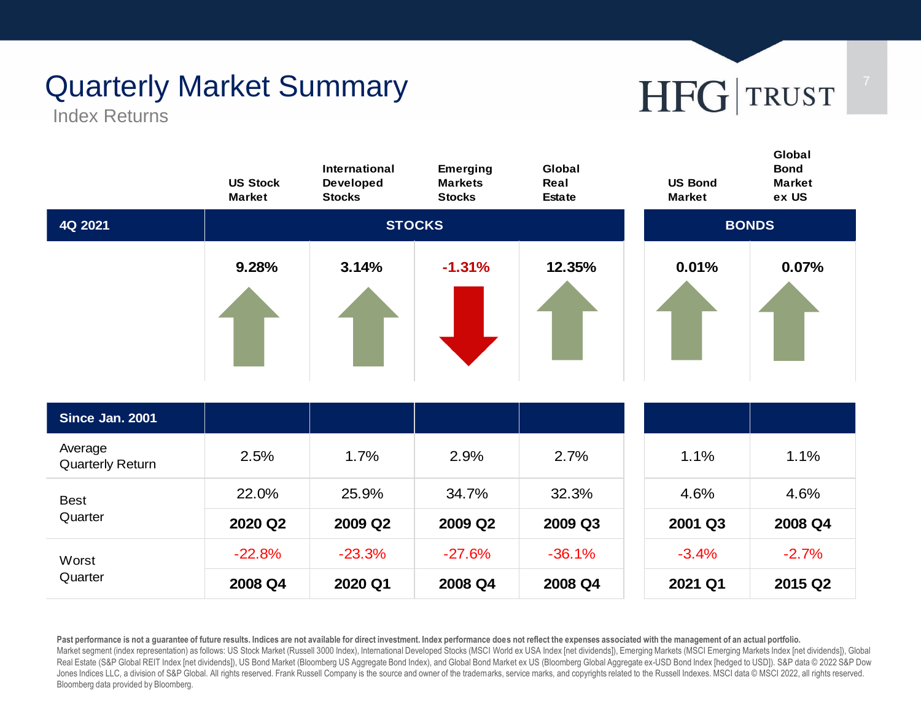# Quarterly Market Summary **7 19 HFG** TRUST

Index Returns



Past performance is not a guarantee of future results. Indices are not available for direct investment. Index performance does not reflect the expenses associated with the management of an actual portfolio. Market segment (index representation) as follows: US Stock Market (Russell 3000 Index), International Developed Stocks (MSCI World ex USA Index [net dividends]), Emerging Markets (MSCI Emerging Markets Index [net dividends Real Estate (S&P Global REIT Index [net dividends]), US Bond Market (Bloomberg US Aggregate Bond Index), and Global Bond Market ex US (Bloomberg Global Aggregate ex-USD Bond Index [hedged to USD]). S&P data © 2022 S&P Dow Jones Indices LLC, a division of S&P Global. All rights reserved. Frank Russell Company is the source and owner of the trademarks, service marks, and copyrights related to the Russell Indexes. MSCI data © MSCI 2022, all ri Bloomberg data provided by Bloomberg.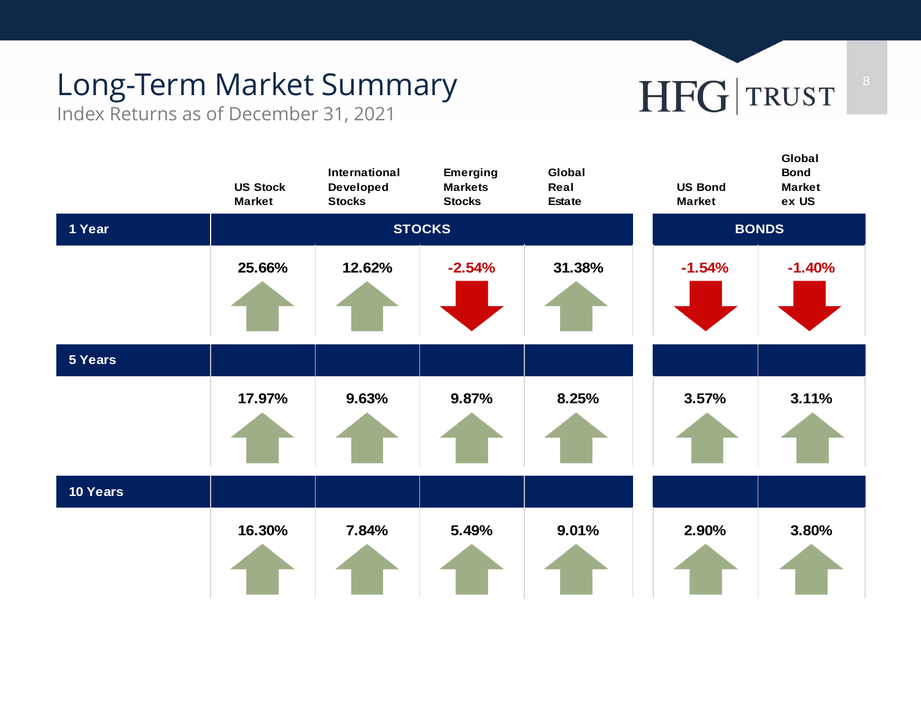# Long-Term Market Summary<br>

Index Returns as of December 31, 2021